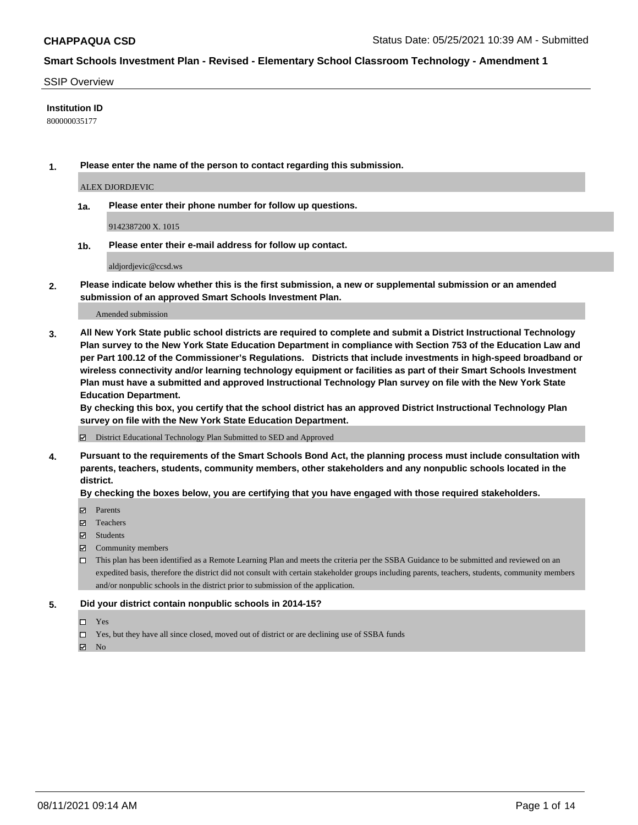#### SSIP Overview

#### **Institution ID**

800000035177

**1. Please enter the name of the person to contact regarding this submission.**

ALEX DJORDJEVIC

**1a. Please enter their phone number for follow up questions.**

9142387200 X. 1015

**1b. Please enter their e-mail address for follow up contact.**

aldjordjevic@ccsd.ws

**2. Please indicate below whether this is the first submission, a new or supplemental submission or an amended submission of an approved Smart Schools Investment Plan.**

#### Amended submission

**3. All New York State public school districts are required to complete and submit a District Instructional Technology Plan survey to the New York State Education Department in compliance with Section 753 of the Education Law and per Part 100.12 of the Commissioner's Regulations. Districts that include investments in high-speed broadband or wireless connectivity and/or learning technology equipment or facilities as part of their Smart Schools Investment Plan must have a submitted and approved Instructional Technology Plan survey on file with the New York State Education Department.** 

**By checking this box, you certify that the school district has an approved District Instructional Technology Plan survey on file with the New York State Education Department.**

District Educational Technology Plan Submitted to SED and Approved

**4. Pursuant to the requirements of the Smart Schools Bond Act, the planning process must include consultation with parents, teachers, students, community members, other stakeholders and any nonpublic schools located in the district.** 

#### **By checking the boxes below, you are certifying that you have engaged with those required stakeholders.**

- **Parents**
- Teachers
- Students
- $\boxtimes$  Community members
- This plan has been identified as a Remote Learning Plan and meets the criteria per the SSBA Guidance to be submitted and reviewed on an expedited basis, therefore the district did not consult with certain stakeholder groups including parents, teachers, students, community members and/or nonpublic schools in the district prior to submission of the application.
- **5. Did your district contain nonpublic schools in 2014-15?**
	- □ Yes
	- □ Yes, but they have all since closed, moved out of district or are declining use of SSBA funds

 $M$  No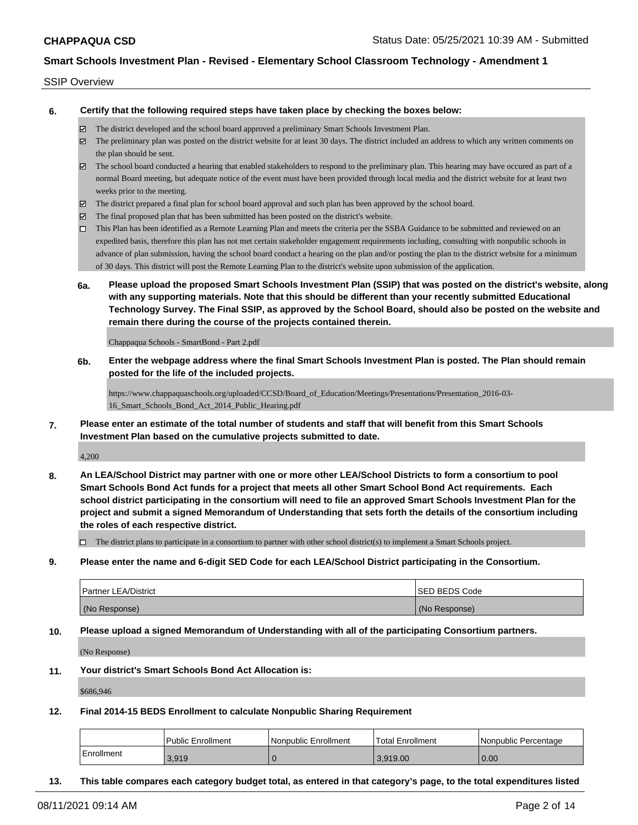#### SSIP Overview

**6. Certify that the following required steps have taken place by checking the boxes below:**

- The district developed and the school board approved a preliminary Smart Schools Investment Plan.
- $\boxtimes$  The preliminary plan was posted on the district website for at least 30 days. The district included an address to which any written comments on the plan should be sent.
- $\boxtimes$  The school board conducted a hearing that enabled stakeholders to respond to the preliminary plan. This hearing may have occured as part of a normal Board meeting, but adequate notice of the event must have been provided through local media and the district website for at least two weeks prior to the meeting.
- The district prepared a final plan for school board approval and such plan has been approved by the school board.
- $\boxtimes$  The final proposed plan that has been submitted has been posted on the district's website.
- This Plan has been identified as a Remote Learning Plan and meets the criteria per the SSBA Guidance to be submitted and reviewed on an expedited basis, therefore this plan has not met certain stakeholder engagement requirements including, consulting with nonpublic schools in advance of plan submission, having the school board conduct a hearing on the plan and/or posting the plan to the district website for a minimum of 30 days. This district will post the Remote Learning Plan to the district's website upon submission of the application.
- **6a. Please upload the proposed Smart Schools Investment Plan (SSIP) that was posted on the district's website, along with any supporting materials. Note that this should be different than your recently submitted Educational Technology Survey. The Final SSIP, as approved by the School Board, should also be posted on the website and remain there during the course of the projects contained therein.**

Chappaqua Schools - SmartBond - Part 2.pdf

**6b. Enter the webpage address where the final Smart Schools Investment Plan is posted. The Plan should remain posted for the life of the included projects.**

https://www.chappaquaschools.org/uploaded/CCSD/Board\_of\_Education/Meetings/Presentations/Presentation\_2016-03- 16\_Smart\_Schools\_Bond\_Act\_2014\_Public\_Hearing.pdf

**7. Please enter an estimate of the total number of students and staff that will benefit from this Smart Schools Investment Plan based on the cumulative projects submitted to date.**

4,200

**8. An LEA/School District may partner with one or more other LEA/School Districts to form a consortium to pool Smart Schools Bond Act funds for a project that meets all other Smart School Bond Act requirements. Each school district participating in the consortium will need to file an approved Smart Schools Investment Plan for the project and submit a signed Memorandum of Understanding that sets forth the details of the consortium including the roles of each respective district.**

 $\Box$  The district plans to participate in a consortium to partner with other school district(s) to implement a Smart Schools project.

**9. Please enter the name and 6-digit SED Code for each LEA/School District participating in the Consortium.**

| <b>Partner LEA/District</b> | <b>ISED BEDS Code</b> |
|-----------------------------|-----------------------|
| (No Response)               | (No Response)         |

**10. Please upload a signed Memorandum of Understanding with all of the participating Consortium partners.**

(No Response)

**11. Your district's Smart Schools Bond Act Allocation is:**

\$686,946

**12. Final 2014-15 BEDS Enrollment to calculate Nonpublic Sharing Requirement**

|            | <b>Public Enrollment</b> | Nonpublic Enrollment | <b>Total Enrollment</b> | l Nonpublic Percentage |
|------------|--------------------------|----------------------|-------------------------|------------------------|
| Enrollment | 3.919                    |                      | 13.919.00               | 0.00                   |

**13. This table compares each category budget total, as entered in that category's page, to the total expenditures listed**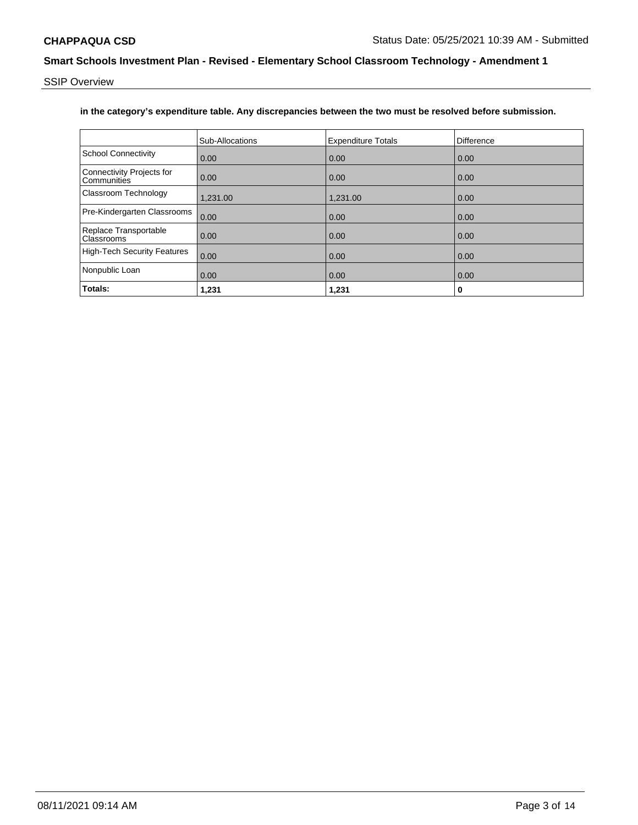SSIP Overview

### **in the category's expenditure table. Any discrepancies between the two must be resolved before submission.**

|                                            | Sub-Allocations | <b>Expenditure Totals</b> | <b>Difference</b> |
|--------------------------------------------|-----------------|---------------------------|-------------------|
| <b>School Connectivity</b>                 | 0.00            | 0.00                      | 0.00              |
| Connectivity Projects for<br>Communities   | 0.00            | 0.00                      | 0.00              |
| Classroom Technology                       | 1,231.00        | 1,231.00                  | 0.00              |
| Pre-Kindergarten Classrooms                | 0.00            | 0.00                      | 0.00              |
| Replace Transportable<br><b>Classrooms</b> | 0.00            | 0.00                      | 0.00              |
| <b>High-Tech Security Features</b>         | 0.00            | 0.00                      | 0.00              |
| Nonpublic Loan                             | 0.00            | 0.00                      | 0.00              |
| Totals:                                    | 1,231           | 1,231                     | 0                 |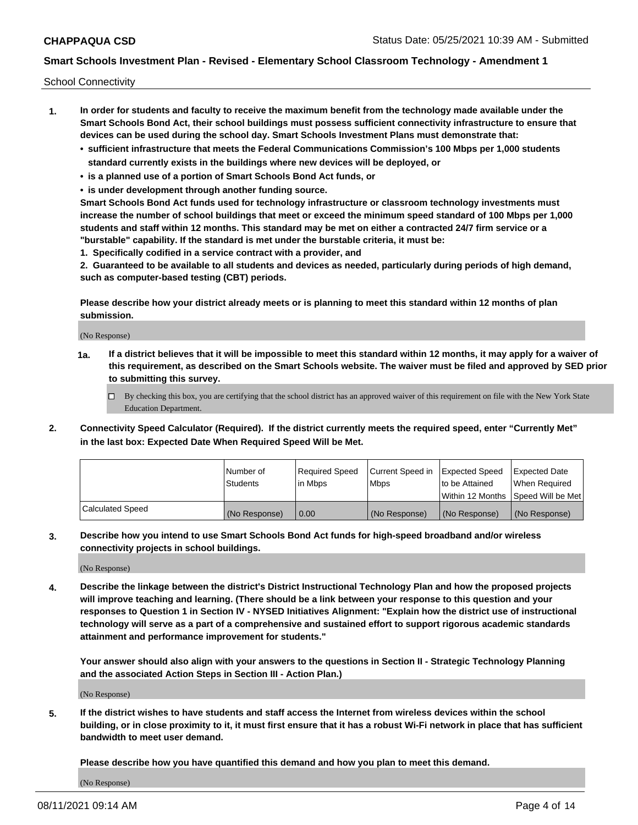School Connectivity

- **1. In order for students and faculty to receive the maximum benefit from the technology made available under the Smart Schools Bond Act, their school buildings must possess sufficient connectivity infrastructure to ensure that devices can be used during the school day. Smart Schools Investment Plans must demonstrate that:**
	- **• sufficient infrastructure that meets the Federal Communications Commission's 100 Mbps per 1,000 students standard currently exists in the buildings where new devices will be deployed, or**
	- **• is a planned use of a portion of Smart Schools Bond Act funds, or**
	- **• is under development through another funding source.**

**Smart Schools Bond Act funds used for technology infrastructure or classroom technology investments must increase the number of school buildings that meet or exceed the minimum speed standard of 100 Mbps per 1,000 students and staff within 12 months. This standard may be met on either a contracted 24/7 firm service or a "burstable" capability. If the standard is met under the burstable criteria, it must be:**

**1. Specifically codified in a service contract with a provider, and**

**2. Guaranteed to be available to all students and devices as needed, particularly during periods of high demand, such as computer-based testing (CBT) periods.**

**Please describe how your district already meets or is planning to meet this standard within 12 months of plan submission.**

(No Response)

**1a. If a district believes that it will be impossible to meet this standard within 12 months, it may apply for a waiver of this requirement, as described on the Smart Schools website. The waiver must be filed and approved by SED prior to submitting this survey.**

 $\Box$  By checking this box, you are certifying that the school district has an approved waiver of this requirement on file with the New York State Education Department.

**2. Connectivity Speed Calculator (Required). If the district currently meets the required speed, enter "Currently Met" in the last box: Expected Date When Required Speed Will be Met.**

|                  | l Number of     | Required Speed | Current Speed in | Expected Speed  | Expected Date                           |
|------------------|-----------------|----------------|------------------|-----------------|-----------------------------------------|
|                  | <b>Students</b> | In Mbps        | l Mbps           | to be Attained  | When Required                           |
|                  |                 |                |                  |                 | l Within 12 Months ISpeed Will be Met l |
| Calculated Speed | (No Response)   | 0.00           | (No Response)    | l (No Response) | l (No Response)                         |

**3. Describe how you intend to use Smart Schools Bond Act funds for high-speed broadband and/or wireless connectivity projects in school buildings.**

(No Response)

**4. Describe the linkage between the district's District Instructional Technology Plan and how the proposed projects will improve teaching and learning. (There should be a link between your response to this question and your responses to Question 1 in Section IV - NYSED Initiatives Alignment: "Explain how the district use of instructional technology will serve as a part of a comprehensive and sustained effort to support rigorous academic standards attainment and performance improvement for students."** 

**Your answer should also align with your answers to the questions in Section II - Strategic Technology Planning and the associated Action Steps in Section III - Action Plan.)**

(No Response)

**5. If the district wishes to have students and staff access the Internet from wireless devices within the school building, or in close proximity to it, it must first ensure that it has a robust Wi-Fi network in place that has sufficient bandwidth to meet user demand.**

**Please describe how you have quantified this demand and how you plan to meet this demand.**

(No Response)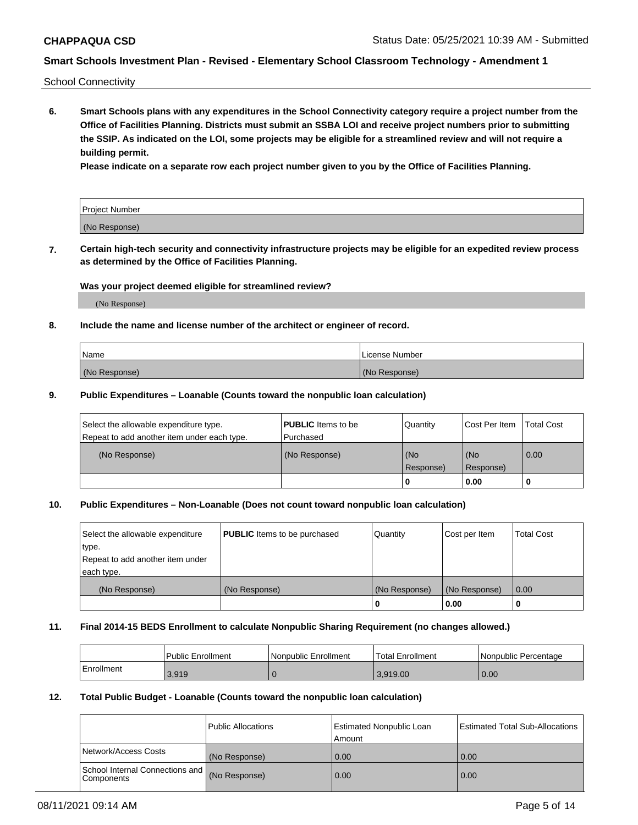School Connectivity

**6. Smart Schools plans with any expenditures in the School Connectivity category require a project number from the Office of Facilities Planning. Districts must submit an SSBA LOI and receive project numbers prior to submitting the SSIP. As indicated on the LOI, some projects may be eligible for a streamlined review and will not require a building permit.**

**Please indicate on a separate row each project number given to you by the Office of Facilities Planning.**

| Project Number |  |
|----------------|--|
| (No Response)  |  |

**7. Certain high-tech security and connectivity infrastructure projects may be eligible for an expedited review process as determined by the Office of Facilities Planning.**

### **Was your project deemed eligible for streamlined review?**

(No Response)

### **8. Include the name and license number of the architect or engineer of record.**

| Name          | License Number |
|---------------|----------------|
| (No Response) | (No Response)  |

#### **9. Public Expenditures – Loanable (Counts toward the nonpublic loan calculation)**

| Select the allowable expenditure type.<br>Repeat to add another item under each type. | <b>PUBLIC</b> Items to be<br>l Purchased | Quantity           | Cost Per Item    | <b>Total Cost</b> |
|---------------------------------------------------------------------------------------|------------------------------------------|--------------------|------------------|-------------------|
| (No Response)                                                                         | (No Response)                            | l (No<br>Response) | (No<br>Response) | $\overline{0.00}$ |
|                                                                                       |                                          | 0                  | 0.00             |                   |

### **10. Public Expenditures – Non-Loanable (Does not count toward nonpublic loan calculation)**

| Select the allowable expenditure | <b>PUBLIC</b> Items to be purchased | Quantity      | Cost per Item | <b>Total Cost</b> |
|----------------------------------|-------------------------------------|---------------|---------------|-------------------|
| type.                            |                                     |               |               |                   |
| Repeat to add another item under |                                     |               |               |                   |
| each type.                       |                                     |               |               |                   |
| (No Response)                    | (No Response)                       | (No Response) | (No Response) | 0.00              |
|                                  |                                     |               | 0.00          |                   |

#### **11. Final 2014-15 BEDS Enrollment to calculate Nonpublic Sharing Requirement (no changes allowed.)**

|            | Public Enrollment | Nonpublic Enrollment | 'Total Enrollment | l Nonpublic Percentage |
|------------|-------------------|----------------------|-------------------|------------------------|
| Enrollment | 3.919             |                      | 3.919.00          | 0.00                   |

#### **12. Total Public Budget - Loanable (Counts toward the nonpublic loan calculation)**

|                                                      | Public Allocations | <b>Estimated Nonpublic Loan</b><br>Amount | Estimated Total Sub-Allocations |
|------------------------------------------------------|--------------------|-------------------------------------------|---------------------------------|
| Network/Access Costs                                 | (No Response)      | 0.00                                      | 0.00                            |
| School Internal Connections and<br><b>Components</b> | (No Response)      | 0.00                                      | 0.00                            |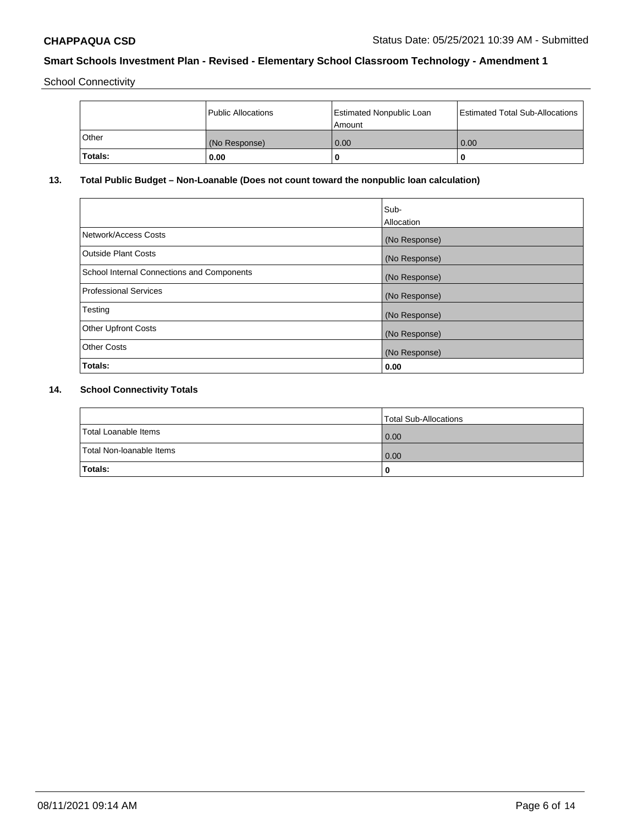School Connectivity

|              | Public Allocations | <b>Estimated Nonpublic Loan</b><br>Amount | <b>Estimated Total Sub-Allocations</b> |
|--------------|--------------------|-------------------------------------------|----------------------------------------|
| <b>Other</b> | (No Response)      | 0.00                                      | 0.00                                   |
| 'Totals:     | 0.00               |                                           |                                        |

# **13. Total Public Budget – Non-Loanable (Does not count toward the nonpublic loan calculation)**

|                                                   | Sub-<br>Allocation |
|---------------------------------------------------|--------------------|
| Network/Access Costs                              | (No Response)      |
| <b>Outside Plant Costs</b>                        | (No Response)      |
| <b>School Internal Connections and Components</b> | (No Response)      |
| Professional Services                             | (No Response)      |
| Testing                                           | (No Response)      |
| <b>Other Upfront Costs</b>                        | (No Response)      |
| <b>Other Costs</b>                                | (No Response)      |
| <b>Totals:</b>                                    | 0.00               |

# **14. School Connectivity Totals**

|                          | Total Sub-Allocations |
|--------------------------|-----------------------|
| Total Loanable Items     | 0.00                  |
| Total Non-Ioanable Items | 0.00                  |
| Totals:                  | 0                     |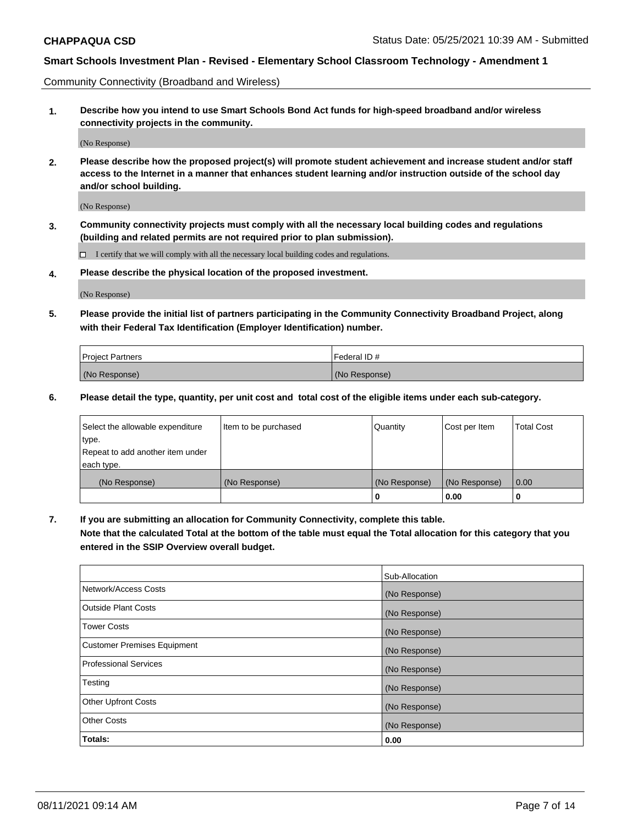Community Connectivity (Broadband and Wireless)

**1. Describe how you intend to use Smart Schools Bond Act funds for high-speed broadband and/or wireless connectivity projects in the community.**

(No Response)

**2. Please describe how the proposed project(s) will promote student achievement and increase student and/or staff access to the Internet in a manner that enhances student learning and/or instruction outside of the school day and/or school building.**

(No Response)

**3. Community connectivity projects must comply with all the necessary local building codes and regulations (building and related permits are not required prior to plan submission).**

 $\Box$  I certify that we will comply with all the necessary local building codes and regulations.

**4. Please describe the physical location of the proposed investment.**

(No Response)

**5. Please provide the initial list of partners participating in the Community Connectivity Broadband Project, along with their Federal Tax Identification (Employer Identification) number.**

| <b>Project Partners</b> | l Federal ID # |
|-------------------------|----------------|
| (No Response)           | (No Response)  |

**6. Please detail the type, quantity, per unit cost and total cost of the eligible items under each sub-category.**

| Select the allowable expenditure | Item to be purchased | Quantity      | Cost per Item | <b>Total Cost</b> |
|----------------------------------|----------------------|---------------|---------------|-------------------|
| type.                            |                      |               |               |                   |
| Repeat to add another item under |                      |               |               |                   |
| each type.                       |                      |               |               |                   |
| (No Response)                    | (No Response)        | (No Response) | (No Response) | 0.00              |
|                                  |                      | o             | 0.00          |                   |

**7. If you are submitting an allocation for Community Connectivity, complete this table.**

**Note that the calculated Total at the bottom of the table must equal the Total allocation for this category that you entered in the SSIP Overview overall budget.**

|                                    | Sub-Allocation |
|------------------------------------|----------------|
| Network/Access Costs               | (No Response)  |
| Outside Plant Costs                | (No Response)  |
| <b>Tower Costs</b>                 | (No Response)  |
| <b>Customer Premises Equipment</b> | (No Response)  |
| <b>Professional Services</b>       | (No Response)  |
| Testing                            | (No Response)  |
| <b>Other Upfront Costs</b>         | (No Response)  |
| <b>Other Costs</b>                 | (No Response)  |
| Totals:                            | 0.00           |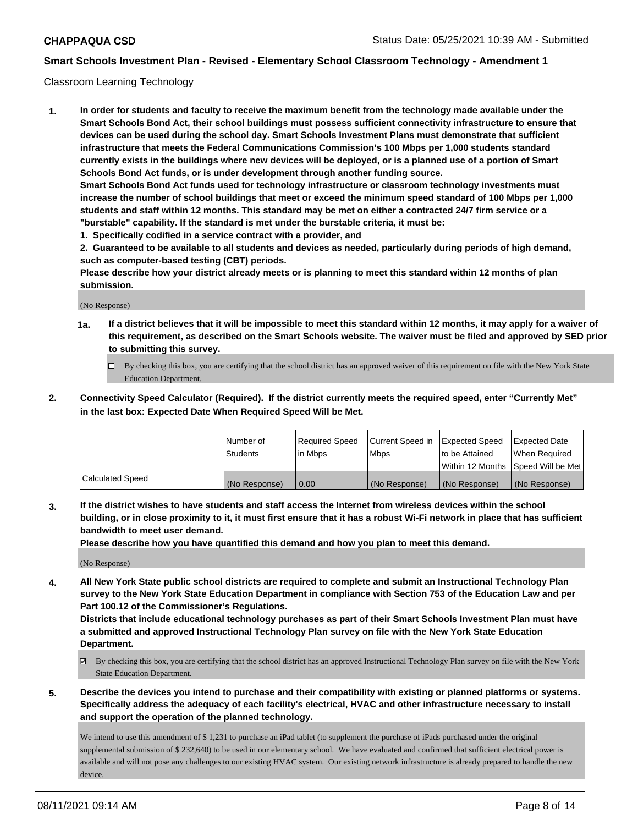#### Classroom Learning Technology

**1. In order for students and faculty to receive the maximum benefit from the technology made available under the Smart Schools Bond Act, their school buildings must possess sufficient connectivity infrastructure to ensure that devices can be used during the school day. Smart Schools Investment Plans must demonstrate that sufficient infrastructure that meets the Federal Communications Commission's 100 Mbps per 1,000 students standard currently exists in the buildings where new devices will be deployed, or is a planned use of a portion of Smart Schools Bond Act funds, or is under development through another funding source. Smart Schools Bond Act funds used for technology infrastructure or classroom technology investments must increase the number of school buildings that meet or exceed the minimum speed standard of 100 Mbps per 1,000 students and staff within 12 months. This standard may be met on either a contracted 24/7 firm service or a "burstable" capability. If the standard is met under the burstable criteria, it must be:**

**1. Specifically codified in a service contract with a provider, and**

**2. Guaranteed to be available to all students and devices as needed, particularly during periods of high demand, such as computer-based testing (CBT) periods.**

**Please describe how your district already meets or is planning to meet this standard within 12 months of plan submission.**

(No Response)

- **1a. If a district believes that it will be impossible to meet this standard within 12 months, it may apply for a waiver of this requirement, as described on the Smart Schools website. The waiver must be filed and approved by SED prior to submitting this survey.**
	- By checking this box, you are certifying that the school district has an approved waiver of this requirement on file with the New York State Education Department.
- **2. Connectivity Speed Calculator (Required). If the district currently meets the required speed, enter "Currently Met" in the last box: Expected Date When Required Speed Will be Met.**

|                  | l Number of     | Required Speed | Current Speed in | <b>Expected Speed</b> | <b>Expected Date</b>                |
|------------------|-----------------|----------------|------------------|-----------------------|-------------------------------------|
|                  | <b>Students</b> | l in Mbps      | l Mbps           | to be Attained        | When Required                       |
|                  |                 |                |                  |                       | Within 12 Months  Speed Will be Met |
| Calculated Speed | (No Response)   | 0.00           | (No Response)    | l (No Response)       | (No Response)                       |

**3. If the district wishes to have students and staff access the Internet from wireless devices within the school building, or in close proximity to it, it must first ensure that it has a robust Wi-Fi network in place that has sufficient bandwidth to meet user demand.**

**Please describe how you have quantified this demand and how you plan to meet this demand.**

(No Response)

**4. All New York State public school districts are required to complete and submit an Instructional Technology Plan survey to the New York State Education Department in compliance with Section 753 of the Education Law and per Part 100.12 of the Commissioner's Regulations.**

**Districts that include educational technology purchases as part of their Smart Schools Investment Plan must have a submitted and approved Instructional Technology Plan survey on file with the New York State Education Department.**

- By checking this box, you are certifying that the school district has an approved Instructional Technology Plan survey on file with the New York State Education Department.
- **5. Describe the devices you intend to purchase and their compatibility with existing or planned platforms or systems. Specifically address the adequacy of each facility's electrical, HVAC and other infrastructure necessary to install and support the operation of the planned technology.**

We intend to use this amendment of \$1,231 to purchase an iPad tablet (to supplement the purchase of iPads purchased under the original supplemental submission of \$ 232,640) to be used in our elementary school. We have evaluated and confirmed that sufficient electrical power is available and will not pose any challenges to our existing HVAC system. Our existing network infrastructure is already prepared to handle the new device.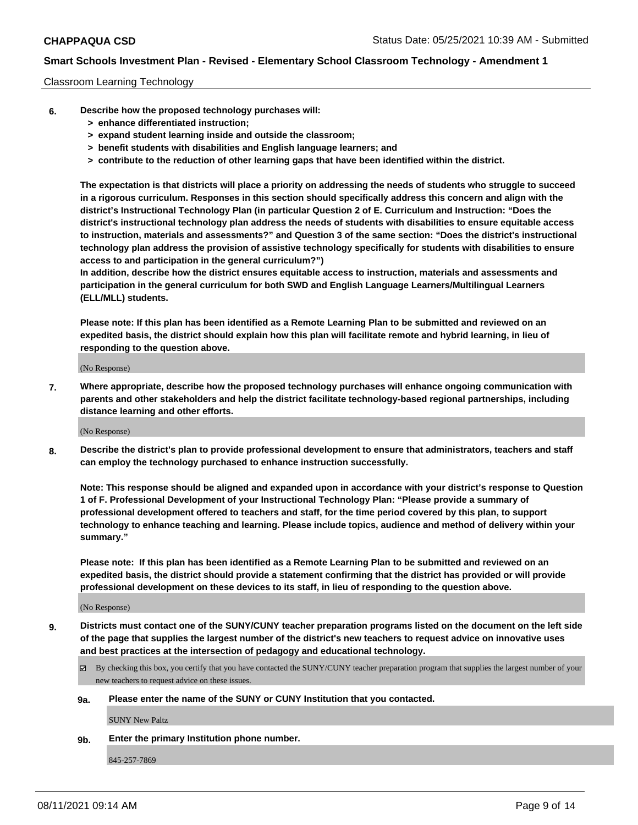#### Classroom Learning Technology

- **6. Describe how the proposed technology purchases will:**
	- **> enhance differentiated instruction;**
	- **> expand student learning inside and outside the classroom;**
	- **> benefit students with disabilities and English language learners; and**
	- **> contribute to the reduction of other learning gaps that have been identified within the district.**

**The expectation is that districts will place a priority on addressing the needs of students who struggle to succeed in a rigorous curriculum. Responses in this section should specifically address this concern and align with the district's Instructional Technology Plan (in particular Question 2 of E. Curriculum and Instruction: "Does the district's instructional technology plan address the needs of students with disabilities to ensure equitable access to instruction, materials and assessments?" and Question 3 of the same section: "Does the district's instructional technology plan address the provision of assistive technology specifically for students with disabilities to ensure access to and participation in the general curriculum?")**

**In addition, describe how the district ensures equitable access to instruction, materials and assessments and participation in the general curriculum for both SWD and English Language Learners/Multilingual Learners (ELL/MLL) students.**

**Please note: If this plan has been identified as a Remote Learning Plan to be submitted and reviewed on an expedited basis, the district should explain how this plan will facilitate remote and hybrid learning, in lieu of responding to the question above.**

(No Response)

**7. Where appropriate, describe how the proposed technology purchases will enhance ongoing communication with parents and other stakeholders and help the district facilitate technology-based regional partnerships, including distance learning and other efforts.**

(No Response)

**8. Describe the district's plan to provide professional development to ensure that administrators, teachers and staff can employ the technology purchased to enhance instruction successfully.**

**Note: This response should be aligned and expanded upon in accordance with your district's response to Question 1 of F. Professional Development of your Instructional Technology Plan: "Please provide a summary of professional development offered to teachers and staff, for the time period covered by this plan, to support technology to enhance teaching and learning. Please include topics, audience and method of delivery within your summary."**

**Please note: If this plan has been identified as a Remote Learning Plan to be submitted and reviewed on an expedited basis, the district should provide a statement confirming that the district has provided or will provide professional development on these devices to its staff, in lieu of responding to the question above.**

(No Response)

- **9. Districts must contact one of the SUNY/CUNY teacher preparation programs listed on the document on the left side of the page that supplies the largest number of the district's new teachers to request advice on innovative uses and best practices at the intersection of pedagogy and educational technology.**
	- $\boxtimes$  By checking this box, you certify that you have contacted the SUNY/CUNY teacher preparation program that supplies the largest number of your new teachers to request advice on these issues.

#### **9a. Please enter the name of the SUNY or CUNY Institution that you contacted.**

SUNY New Paltz

**9b. Enter the primary Institution phone number.**

845-257-7869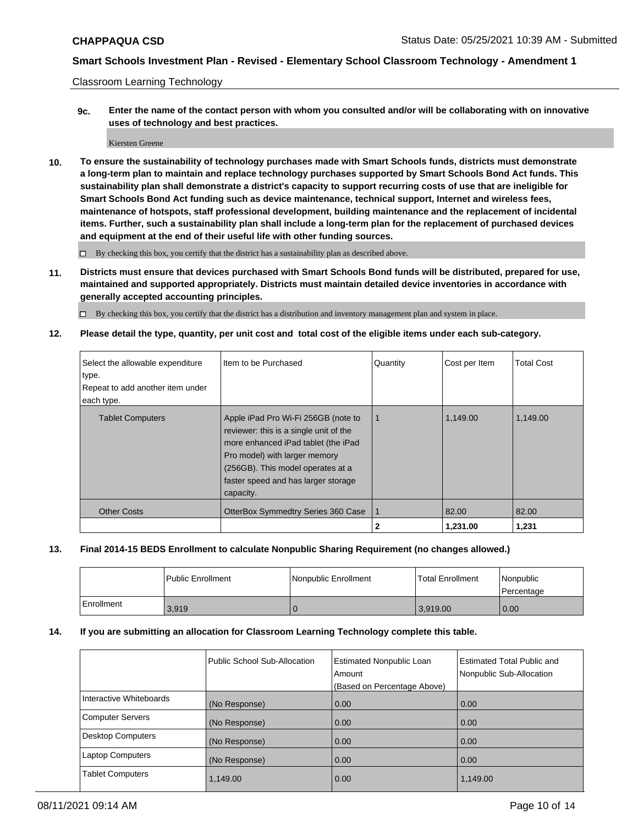Classroom Learning Technology

**9c. Enter the name of the contact person with whom you consulted and/or will be collaborating with on innovative uses of technology and best practices.**

Kiersten Greene

**10. To ensure the sustainability of technology purchases made with Smart Schools funds, districts must demonstrate a long-term plan to maintain and replace technology purchases supported by Smart Schools Bond Act funds. This sustainability plan shall demonstrate a district's capacity to support recurring costs of use that are ineligible for Smart Schools Bond Act funding such as device maintenance, technical support, Internet and wireless fees, maintenance of hotspots, staff professional development, building maintenance and the replacement of incidental items. Further, such a sustainability plan shall include a long-term plan for the replacement of purchased devices and equipment at the end of their useful life with other funding sources.**

 $\square$  By checking this box, you certify that the district has a sustainability plan as described above.

**11. Districts must ensure that devices purchased with Smart Schools Bond funds will be distributed, prepared for use, maintained and supported appropriately. Districts must maintain detailed device inventories in accordance with generally accepted accounting principles.**

By checking this box, you certify that the district has a distribution and inventory management plan and system in place.

**12. Please detail the type, quantity, per unit cost and total cost of the eligible items under each sub-category.**

| Select the allowable expenditure<br>type.<br>Repeat to add another item under<br>each type. | Item to be Purchased                                                                                                                                                                                                                           | Quantity | Cost per Item | <b>Total Cost</b> |
|---------------------------------------------------------------------------------------------|------------------------------------------------------------------------------------------------------------------------------------------------------------------------------------------------------------------------------------------------|----------|---------------|-------------------|
| <b>Tablet Computers</b>                                                                     | Apple iPad Pro Wi-Fi 256GB (note to<br>reviewer: this is a single unit of the<br>more enhanced iPad tablet (the iPad<br>Pro model) with larger memory<br>(256GB). This model operates at a<br>faster speed and has larger storage<br>capacity. | -1       | 1,149.00      | 1,149.00          |
| <b>Other Costs</b>                                                                          | OtterBox Symmedtry Series 360 Case                                                                                                                                                                                                             |          | 82.00         | 82.00             |
|                                                                                             |                                                                                                                                                                                                                                                | 2        | 1,231.00      | 1,231             |

### **13. Final 2014-15 BEDS Enrollment to calculate Nonpublic Sharing Requirement (no changes allowed.)**

|            | <b>Public Enrollment</b> | Nonpublic Enrollment | <b>Total Enrollment</b> | l Nonpublic<br>l Percentage |
|------------|--------------------------|----------------------|-------------------------|-----------------------------|
| Enrollment | 3.919                    |                      | 3,919.00                | 0.00                        |

### **14. If you are submitting an allocation for Classroom Learning Technology complete this table.**

|                          | Public School Sub-Allocation | <b>Estimated Nonpublic Loan</b><br>Amount<br>(Based on Percentage Above) | <b>Estimated Total Public and</b><br>Nonpublic Sub-Allocation |
|--------------------------|------------------------------|--------------------------------------------------------------------------|---------------------------------------------------------------|
| Interactive Whiteboards  | (No Response)                | 0.00                                                                     | 0.00                                                          |
| <b>Computer Servers</b>  | (No Response)                | 0.00                                                                     | 0.00                                                          |
| <b>Desktop Computers</b> | (No Response)                | 0.00                                                                     | 0.00                                                          |
| <b>Laptop Computers</b>  | (No Response)                | 0.00                                                                     | 0.00                                                          |
| <b>Tablet Computers</b>  | 1,149.00                     | 0.00                                                                     | 1,149.00                                                      |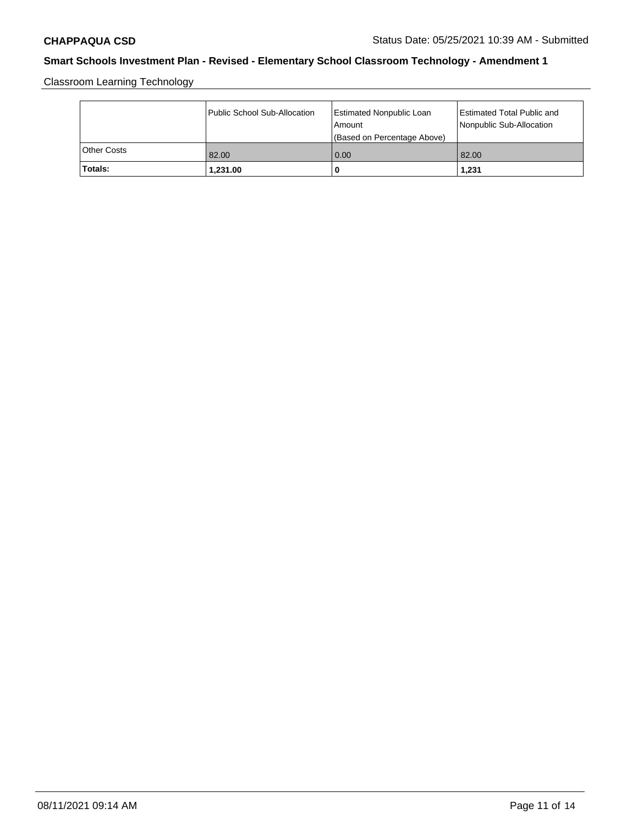Classroom Learning Technology

|             | Public School Sub-Allocation | Estimated Nonpublic Loan<br>l Amount<br>(Based on Percentage Above) | Estimated Total Public and<br>Nonpublic Sub-Allocation |
|-------------|------------------------------|---------------------------------------------------------------------|--------------------------------------------------------|
| Other Costs | 82.00                        | 0.00                                                                | 82.00                                                  |
| 'Totals:    | 1.231.00                     | 0                                                                   | 1,231                                                  |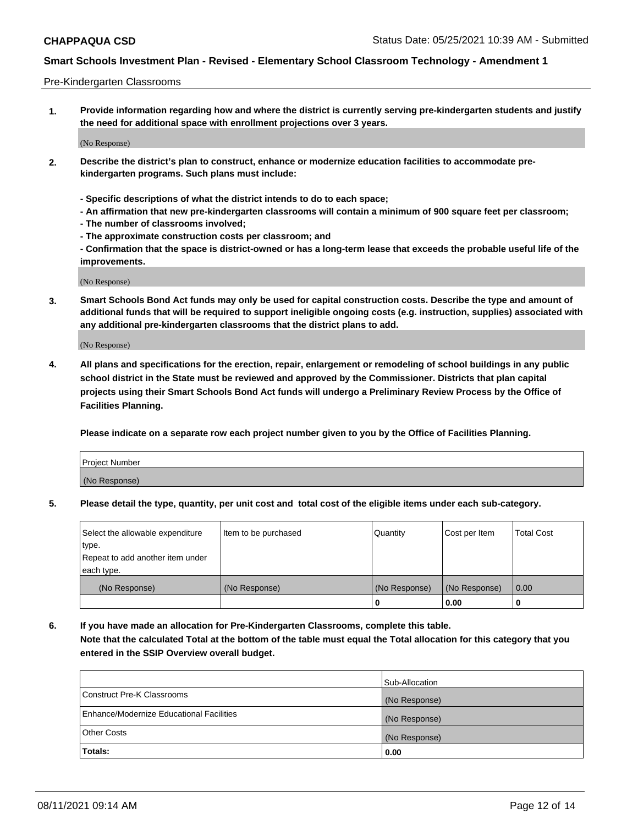#### Pre-Kindergarten Classrooms

**1. Provide information regarding how and where the district is currently serving pre-kindergarten students and justify the need for additional space with enrollment projections over 3 years.**

(No Response)

- **2. Describe the district's plan to construct, enhance or modernize education facilities to accommodate prekindergarten programs. Such plans must include:**
	- **Specific descriptions of what the district intends to do to each space;**
	- **An affirmation that new pre-kindergarten classrooms will contain a minimum of 900 square feet per classroom;**
	- **The number of classrooms involved;**
	- **The approximate construction costs per classroom; and**
	- **Confirmation that the space is district-owned or has a long-term lease that exceeds the probable useful life of the improvements.**

(No Response)

**3. Smart Schools Bond Act funds may only be used for capital construction costs. Describe the type and amount of additional funds that will be required to support ineligible ongoing costs (e.g. instruction, supplies) associated with any additional pre-kindergarten classrooms that the district plans to add.**

(No Response)

**4. All plans and specifications for the erection, repair, enlargement or remodeling of school buildings in any public school district in the State must be reviewed and approved by the Commissioner. Districts that plan capital projects using their Smart Schools Bond Act funds will undergo a Preliminary Review Process by the Office of Facilities Planning.**

**Please indicate on a separate row each project number given to you by the Office of Facilities Planning.**

| Project Number |  |
|----------------|--|
| (No Response)  |  |
|                |  |

**5. Please detail the type, quantity, per unit cost and total cost of the eligible items under each sub-category.**

| Select the allowable expenditure | Item to be purchased | Quantity      | Cost per Item | <b>Total Cost</b> |
|----------------------------------|----------------------|---------------|---------------|-------------------|
| type.                            |                      |               |               |                   |
| Repeat to add another item under |                      |               |               |                   |
| each type.                       |                      |               |               |                   |
| (No Response)                    | (No Response)        | (No Response) | (No Response) | 0.00              |
|                                  |                      | U             | 0.00          |                   |

**6. If you have made an allocation for Pre-Kindergarten Classrooms, complete this table. Note that the calculated Total at the bottom of the table must equal the Total allocation for this category that you entered in the SSIP Overview overall budget.**

|                                          | Sub-Allocation |
|------------------------------------------|----------------|
| Construct Pre-K Classrooms               | (No Response)  |
| Enhance/Modernize Educational Facilities | (No Response)  |
| <b>Other Costs</b>                       | (No Response)  |
| Totals:                                  | 0.00           |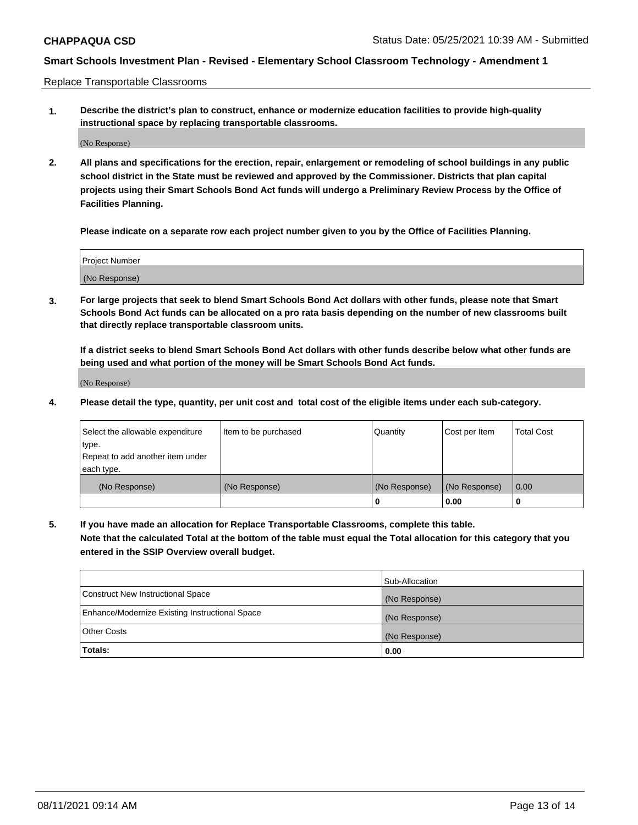Replace Transportable Classrooms

**1. Describe the district's plan to construct, enhance or modernize education facilities to provide high-quality instructional space by replacing transportable classrooms.**

(No Response)

**2. All plans and specifications for the erection, repair, enlargement or remodeling of school buildings in any public school district in the State must be reviewed and approved by the Commissioner. Districts that plan capital projects using their Smart Schools Bond Act funds will undergo a Preliminary Review Process by the Office of Facilities Planning.**

**Please indicate on a separate row each project number given to you by the Office of Facilities Planning.**

| Project Number |  |
|----------------|--|
|                |  |
|                |  |
|                |  |
| (No Response)  |  |
|                |  |
|                |  |

**3. For large projects that seek to blend Smart Schools Bond Act dollars with other funds, please note that Smart Schools Bond Act funds can be allocated on a pro rata basis depending on the number of new classrooms built that directly replace transportable classroom units.**

**If a district seeks to blend Smart Schools Bond Act dollars with other funds describe below what other funds are being used and what portion of the money will be Smart Schools Bond Act funds.**

(No Response)

**4. Please detail the type, quantity, per unit cost and total cost of the eligible items under each sub-category.**

| Select the allowable expenditure | Item to be purchased | Quantity      | Cost per Item | Total Cost |
|----------------------------------|----------------------|---------------|---------------|------------|
| ∣type.                           |                      |               |               |            |
| Repeat to add another item under |                      |               |               |            |
| each type.                       |                      |               |               |            |
| (No Response)                    | (No Response)        | (No Response) | (No Response) | 0.00       |
|                                  |                      | u             | 0.00          |            |

**5. If you have made an allocation for Replace Transportable Classrooms, complete this table. Note that the calculated Total at the bottom of the table must equal the Total allocation for this category that you entered in the SSIP Overview overall budget.**

|                                                | Sub-Allocation |
|------------------------------------------------|----------------|
| Construct New Instructional Space              | (No Response)  |
| Enhance/Modernize Existing Instructional Space | (No Response)  |
| <b>Other Costs</b>                             | (No Response)  |
| Totals:                                        | 0.00           |